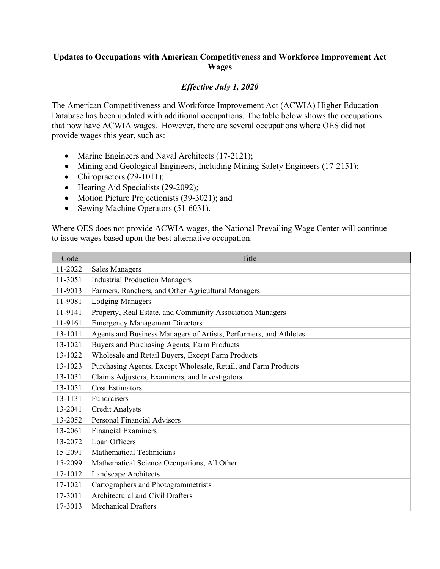## **Updates to Occupations with American Competitiveness and Workforce Improvement Act Wages**

## *Effective July 1, 2020*

The American Competitiveness and Workforce Improvement Act (ACWIA) Higher Education Database has been updated with additional occupations. The table below shows the occupations that now have ACWIA wages. However, there are several occupations where OES did not provide wages this year, such as:

- Marine Engineers and Naval Architects (17-2121);
- Mining and Geological Engineers, Including Mining Safety Engineers (17-2151);
- Chiropractors  $(29-1011)$ ;
- Hearing Aid Specialists (29-2092);
- Motion Picture Projectionists (39-3021); and
- Sewing Machine Operators (51-6031).

Where OES does not provide ACWIA wages, the National Prevailing Wage Center will continue to issue wages based upon the best alternative occupation.

| Code    | Title                                                             |
|---------|-------------------------------------------------------------------|
| 11-2022 | <b>Sales Managers</b>                                             |
| 11-3051 | <b>Industrial Production Managers</b>                             |
| 11-9013 | Farmers, Ranchers, and Other Agricultural Managers                |
| 11-9081 | <b>Lodging Managers</b>                                           |
| 11-9141 | Property, Real Estate, and Community Association Managers         |
| 11-9161 | <b>Emergency Management Directors</b>                             |
| 13-1011 | Agents and Business Managers of Artists, Performers, and Athletes |
| 13-1021 | Buyers and Purchasing Agents, Farm Products                       |
| 13-1022 | Wholesale and Retail Buyers, Except Farm Products                 |
| 13-1023 | Purchasing Agents, Except Wholesale, Retail, and Farm Products    |
| 13-1031 | Claims Adjusters, Examiners, and Investigators                    |
| 13-1051 | <b>Cost Estimators</b>                                            |
| 13-1131 | Fundraisers                                                       |
| 13-2041 | <b>Credit Analysts</b>                                            |
| 13-2052 | <b>Personal Financial Advisors</b>                                |
| 13-2061 | <b>Financial Examiners</b>                                        |
| 13-2072 | Loan Officers                                                     |
| 15-2091 | <b>Mathematical Technicians</b>                                   |
| 15-2099 | Mathematical Science Occupations, All Other                       |
| 17-1012 | Landscape Architects                                              |
| 17-1021 | Cartographers and Photogrammetrists                               |
| 17-3011 | <b>Architectural and Civil Drafters</b>                           |
| 17-3013 | <b>Mechanical Drafters</b>                                        |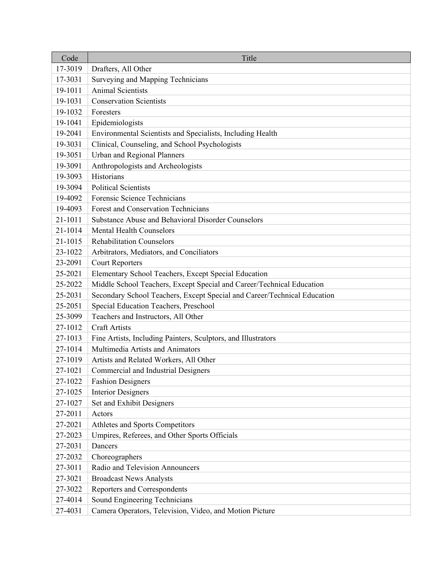| Code    | Title                                                                    |
|---------|--------------------------------------------------------------------------|
| 17-3019 | Drafters, All Other                                                      |
| 17-3031 | Surveying and Mapping Technicians                                        |
| 19-1011 | Animal Scientists                                                        |
| 19-1031 | <b>Conservation Scientists</b>                                           |
| 19-1032 | Foresters                                                                |
| 19-1041 | Epidemiologists                                                          |
| 19-2041 | Environmental Scientists and Specialists, Including Health               |
| 19-3031 | Clinical, Counseling, and School Psychologists                           |
| 19-3051 | Urban and Regional Planners                                              |
| 19-3091 | Anthropologists and Archeologists                                        |
| 19-3093 | Historians                                                               |
| 19-3094 | <b>Political Scientists</b>                                              |
| 19-4092 | Forensic Science Technicians                                             |
| 19-4093 | Forest and Conservation Technicians                                      |
| 21-1011 | Substance Abuse and Behavioral Disorder Counselors                       |
| 21-1014 | <b>Mental Health Counselors</b>                                          |
| 21-1015 | <b>Rehabilitation Counselors</b>                                         |
| 23-1022 | Arbitrators, Mediators, and Conciliators                                 |
| 23-2091 | <b>Court Reporters</b>                                                   |
| 25-2021 | Elementary School Teachers, Except Special Education                     |
| 25-2022 | Middle School Teachers, Except Special and Career/Technical Education    |
| 25-2031 | Secondary School Teachers, Except Special and Career/Technical Education |
| 25-2051 | Special Education Teachers, Preschool                                    |
| 25-3099 | Teachers and Instructors, All Other                                      |
| 27-1012 | <b>Craft Artists</b>                                                     |
| 27-1013 | Fine Artists, Including Painters, Sculptors, and Illustrators            |
| 27-1014 | Multimedia Artists and Animators                                         |
| 27-1019 | Artists and Related Workers, All Other                                   |
| 27-1021 | Commercial and Industrial Designers                                      |
| 27-1022 | <b>Fashion Designers</b>                                                 |
| 27-1025 | <b>Interior Designers</b>                                                |
| 27-1027 | Set and Exhibit Designers                                                |
| 27-2011 | Actors                                                                   |
| 27-2021 | Athletes and Sports Competitors                                          |
| 27-2023 | Umpires, Referees, and Other Sports Officials                            |
| 27-2031 | Dancers                                                                  |
| 27-2032 | Choreographers                                                           |
| 27-3011 | Radio and Television Announcers                                          |
| 27-3021 | <b>Broadcast News Analysts</b>                                           |
| 27-3022 | Reporters and Correspondents                                             |
| 27-4014 | Sound Engineering Technicians                                            |
| 27-4031 | Camera Operators, Television, Video, and Motion Picture                  |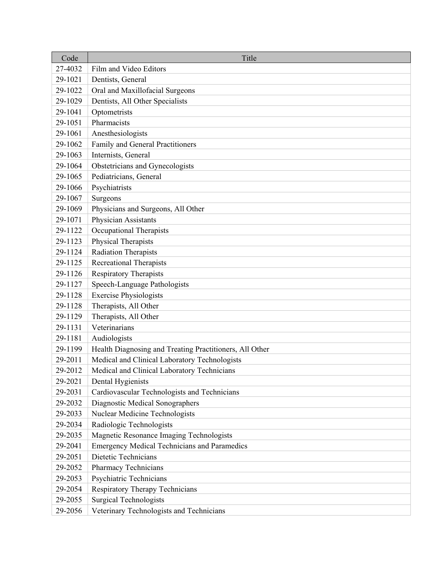| Code    | Title                                                   |
|---------|---------------------------------------------------------|
| 27-4032 | Film and Video Editors                                  |
| 29-1021 | Dentists, General                                       |
| 29-1022 | Oral and Maxillofacial Surgeons                         |
| 29-1029 | Dentists, All Other Specialists                         |
| 29-1041 | Optometrists                                            |
| 29-1051 | Pharmacists                                             |
| 29-1061 | Anesthesiologists                                       |
| 29-1062 | Family and General Practitioners                        |
| 29-1063 | Internists, General                                     |
| 29-1064 | Obstetricians and Gynecologists                         |
| 29-1065 | Pediatricians, General                                  |
| 29-1066 | Psychiatrists                                           |
| 29-1067 | Surgeons                                                |
| 29-1069 | Physicians and Surgeons, All Other                      |
| 29-1071 | Physician Assistants                                    |
| 29-1122 | Occupational Therapists                                 |
| 29-1123 | Physical Therapists                                     |
| 29-1124 | <b>Radiation Therapists</b>                             |
| 29-1125 | <b>Recreational Therapists</b>                          |
| 29-1126 | <b>Respiratory Therapists</b>                           |
| 29-1127 | Speech-Language Pathologists                            |
| 29-1128 | <b>Exercise Physiologists</b>                           |
| 29-1128 | Therapists, All Other                                   |
| 29-1129 | Therapists, All Other                                   |
| 29-1131 | Veterinarians                                           |
| 29-1181 | Audiologists                                            |
| 29-1199 | Health Diagnosing and Treating Practitioners, All Other |
| 29-2011 | Medical and Clinical Laboratory Technologists           |
| 29-2012 | Medical and Clinical Laboratory Technicians             |
| 29-2021 | Dental Hygienists                                       |
| 29-2031 | Cardiovascular Technologists and Technicians            |
| 29-2032 | Diagnostic Medical Sonographers                         |
| 29-2033 | Nuclear Medicine Technologists                          |
| 29-2034 | Radiologic Technologists                                |
| 29-2035 | Magnetic Resonance Imaging Technologists                |
| 29-2041 | <b>Emergency Medical Technicians and Paramedics</b>     |
| 29-2051 | Dietetic Technicians                                    |
| 29-2052 | Pharmacy Technicians                                    |
| 29-2053 | Psychiatric Technicians                                 |
| 29-2054 | Respiratory Therapy Technicians                         |
| 29-2055 | <b>Surgical Technologists</b>                           |
| 29-2056 | Veterinary Technologists and Technicians                |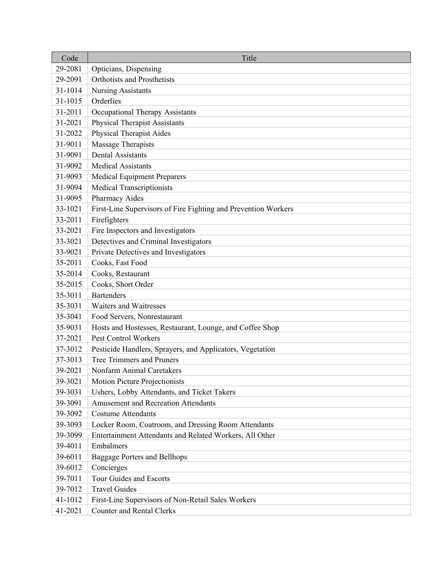| Code    | Title                                                          |
|---------|----------------------------------------------------------------|
| 29-2081 | Opticians, Dispensing                                          |
| 29-2091 | <b>Orthotists and Prosthetists</b>                             |
| 31-1014 | <b>Nursing Assistants</b>                                      |
| 31-1015 | Orderlies                                                      |
| 31-2011 | Occupational Therapy Assistants                                |
| 31-2021 | <b>Physical Therapist Assistants</b>                           |
| 31-2022 | <b>Physical Therapist Aides</b>                                |
| 31-9011 | Massage Therapists                                             |
| 31-9091 | <b>Dental Assistants</b>                                       |
| 31-9092 | <b>Medical Assistants</b>                                      |
| 31-9093 | Medical Equipment Preparers                                    |
| 31-9094 | <b>Medical Transcriptionists</b>                               |
| 31-9095 | Pharmacy Aides                                                 |
| 33-1021 | First-Line Supervisors of Fire Fighting and Prevention Workers |
| 33-2011 | Firefighters                                                   |
| 33-2021 | Fire Inspectors and Investigators                              |
| 33-3021 | Detectives and Criminal Investigators                          |
| 33-9021 | Private Detectives and Investigators                           |
| 35-2011 | Cooks, Fast Food                                               |
| 35-2014 | Cooks, Restaurant                                              |
| 35-2015 | Cooks, Short Order                                             |
| 35-3011 | <b>Bartenders</b>                                              |
| 35-3031 | <b>Waiters and Waitresses</b>                                  |
| 35-3041 | Food Servers, Nonrestaurant                                    |
| 35-9031 | Hosts and Hostesses, Restaurant, Lounge, and Coffee Shop       |
| 37-2021 | Pest Control Workers                                           |
| 37-3012 | Pesticide Handlers, Sprayers, and Applicators, Vegetation      |
| 37-3013 | <b>Tree Trimmers and Pruners</b>                               |
| 39-2021 | Nonfarm Animal Caretakers                                      |
| 39-3021 | <b>Motion Picture Projectionists</b>                           |
| 39-3031 | Ushers, Lobby Attendants, and Ticket Takers                    |
| 39-3091 | <b>Amusement and Recreation Attendants</b>                     |
| 39-3092 | <b>Costume Attendants</b>                                      |
| 39-3093 | Locker Room, Coatroom, and Dressing Room Attendants            |
| 39-3099 | Entertainment Attendants and Related Workers, All Other        |
| 39-4011 | Embalmers                                                      |
| 39-6011 | <b>Baggage Porters and Bellhops</b>                            |
| 39-6012 | Concierges                                                     |
| 39-7011 | Tour Guides and Escorts                                        |
| 39-7012 | <b>Travel Guides</b>                                           |
| 41-1012 | First-Line Supervisors of Non-Retail Sales Workers             |
| 41-2021 | <b>Counter and Rental Clerks</b>                               |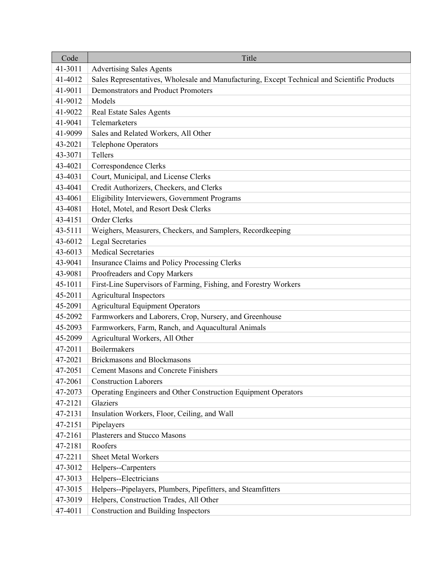| Code    | Title                                                                                        |
|---------|----------------------------------------------------------------------------------------------|
| 41-3011 | <b>Advertising Sales Agents</b>                                                              |
| 41-4012 | Sales Representatives, Wholesale and Manufacturing, Except Technical and Scientific Products |
| 41-9011 | <b>Demonstrators and Product Promoters</b>                                                   |
| 41-9012 | Models                                                                                       |
| 41-9022 | <b>Real Estate Sales Agents</b>                                                              |
| 41-9041 | Telemarketers                                                                                |
| 41-9099 | Sales and Related Workers, All Other                                                         |
| 43-2021 | <b>Telephone Operators</b>                                                                   |
| 43-3071 | Tellers                                                                                      |
| 43-4021 | Correspondence Clerks                                                                        |
| 43-4031 | Court, Municipal, and License Clerks                                                         |
| 43-4041 | Credit Authorizers, Checkers, and Clerks                                                     |
| 43-4061 | Eligibility Interviewers, Government Programs                                                |
| 43-4081 | Hotel, Motel, and Resort Desk Clerks                                                         |
| 43-4151 | Order Clerks                                                                                 |
| 43-5111 | Weighers, Measurers, Checkers, and Samplers, Recordkeeping                                   |
| 43-6012 | <b>Legal Secretaries</b>                                                                     |
| 43-6013 | <b>Medical Secretaries</b>                                                                   |
| 43-9041 | Insurance Claims and Policy Processing Clerks                                                |
| 43-9081 | Proofreaders and Copy Markers                                                                |
| 45-1011 | First-Line Supervisors of Farming, Fishing, and Forestry Workers                             |
| 45-2011 | <b>Agricultural Inspectors</b>                                                               |
| 45-2091 | <b>Agricultural Equipment Operators</b>                                                      |
| 45-2092 | Farmworkers and Laborers, Crop, Nursery, and Greenhouse                                      |
| 45-2093 | Farmworkers, Farm, Ranch, and Aquacultural Animals                                           |
| 45-2099 | Agricultural Workers, All Other                                                              |
| 47-2011 | <b>Boilermakers</b>                                                                          |
| 47-2021 | <b>Brickmasons and Blockmasons</b>                                                           |
| 47-2051 | <b>Cement Masons and Concrete Finishers</b>                                                  |
| 47-2061 | <b>Construction Laborers</b>                                                                 |
| 47-2073 | Operating Engineers and Other Construction Equipment Operators                               |
| 47-2121 | Glaziers                                                                                     |
| 47-2131 | Insulation Workers, Floor, Ceiling, and Wall                                                 |
| 47-2151 | Pipelayers                                                                                   |
| 47-2161 | Plasterers and Stucco Masons                                                                 |
| 47-2181 | Roofers                                                                                      |
| 47-2211 | <b>Sheet Metal Workers</b>                                                                   |
| 47-3012 | Helpers--Carpenters                                                                          |
| 47-3013 | Helpers--Electricians                                                                        |
| 47-3015 | Helpers--Pipelayers, Plumbers, Pipefitters, and Steamfitters                                 |
| 47-3019 | Helpers, Construction Trades, All Other                                                      |
| 47-4011 | <b>Construction and Building Inspectors</b>                                                  |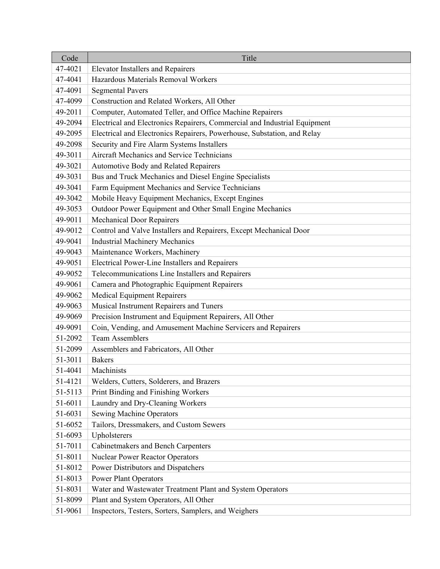| Code    | Title                                                                     |
|---------|---------------------------------------------------------------------------|
| 47-4021 | <b>Elevator Installers and Repairers</b>                                  |
| 47-4041 | Hazardous Materials Removal Workers                                       |
| 47-4091 | <b>Segmental Pavers</b>                                                   |
| 47-4099 | Construction and Related Workers, All Other                               |
| 49-2011 | Computer, Automated Teller, and Office Machine Repairers                  |
| 49-2094 | Electrical and Electronics Repairers, Commercial and Industrial Equipment |
| 49-2095 | Electrical and Electronics Repairers, Powerhouse, Substation, and Relay   |
| 49-2098 | Security and Fire Alarm Systems Installers                                |
| 49-3011 | Aircraft Mechanics and Service Technicians                                |
| 49-3021 | Automotive Body and Related Repairers                                     |
| 49-3031 | Bus and Truck Mechanics and Diesel Engine Specialists                     |
| 49-3041 | Farm Equipment Mechanics and Service Technicians                          |
| 49-3042 | Mobile Heavy Equipment Mechanics, Except Engines                          |
| 49-3053 | Outdoor Power Equipment and Other Small Engine Mechanics                  |
| 49-9011 | <b>Mechanical Door Repairers</b>                                          |
| 49-9012 | Control and Valve Installers and Repairers, Except Mechanical Door        |
| 49-9041 | <b>Industrial Machinery Mechanics</b>                                     |
| 49-9043 | Maintenance Workers, Machinery                                            |
| 49-9051 | Electrical Power-Line Installers and Repairers                            |
| 49-9052 | Telecommunications Line Installers and Repairers                          |
| 49-9061 | Camera and Photographic Equipment Repairers                               |
| 49-9062 | <b>Medical Equipment Repairers</b>                                        |
| 49-9063 | Musical Instrument Repairers and Tuners                                   |
| 49-9069 | Precision Instrument and Equipment Repairers, All Other                   |
| 49-9091 | Coin, Vending, and Amusement Machine Servicers and Repairers              |
| 51-2092 | <b>Team Assemblers</b>                                                    |
| 51-2099 | Assemblers and Fabricators, All Other                                     |
| 51-3011 | <b>Bakers</b>                                                             |
| 51-4041 | Machinists                                                                |
| 51-4121 | Welders, Cutters, Solderers, and Brazers                                  |
| 51-5113 | Print Binding and Finishing Workers                                       |
| 51-6011 | Laundry and Dry-Cleaning Workers                                          |
| 51-6031 | <b>Sewing Machine Operators</b>                                           |
| 51-6052 | Tailors, Dressmakers, and Custom Sewers                                   |
| 51-6093 | Upholsterers                                                              |
| 51-7011 | Cabinetmakers and Bench Carpenters                                        |
| 51-8011 | <b>Nuclear Power Reactor Operators</b>                                    |
| 51-8012 | Power Distributors and Dispatchers                                        |
| 51-8013 | <b>Power Plant Operators</b>                                              |
| 51-8031 | Water and Wastewater Treatment Plant and System Operators                 |
| 51-8099 | Plant and System Operators, All Other                                     |
| 51-9061 | Inspectors, Testers, Sorters, Samplers, and Weighers                      |